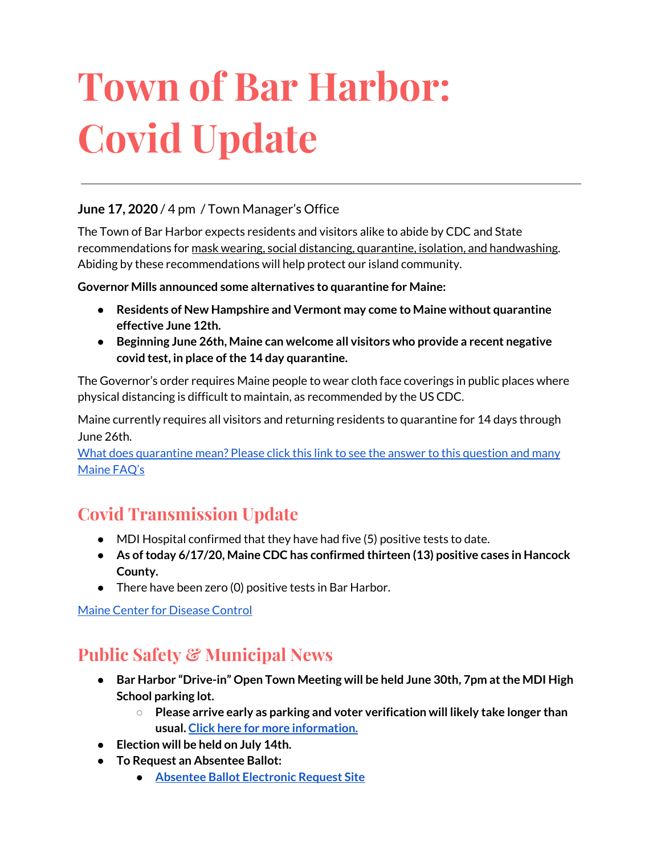# **Town of Bar Harbor: Covid Update**

#### **June 17, 2020** / 4 pm / Town Manager's Office

The Town of Bar Harbor expects residents and visitors alike to abide by CDC and State recommendations for mask wearing, social distancing, quarantine, isolation, and handwashing. Abiding by these recommendations will help protect our island community.

**Governor Mills announced some alternatives to quarantine for Maine:**

- **● Residents of New Hampshire and Vermont may come to Maine without quarantine effective June 12th.**
- **● Beginning June 26th, Maine can welcome all visitors who provide a recent negative covid test, in place ofthe 14 day quarantine.**

The Governor's order requires Maine people to wear cloth face coverings in public places where physical distancing is difficult to maintain, as recommended by the US CDC.

Maine currently requires all visitors and returning residents to quarantine for 14 days through June 26th.

What does [quarantine](https://www.maine.gov/dhhs/mecdc/infectious-disease/epi/airborne/coronavirus.shtml#faq) mean? Please click this link to see the answer to this question and many [Maine](https://www.maine.gov/dhhs/mecdc/infectious-disease/epi/airborne/coronavirus.shtml#faq) FAQ's

# **Covid Transmission Update**

- MDI Hospital confirmed that they have had five (5) positive tests to date.
- **● As oftoday 6/17/20, Maine CDC has confirmed thirteen (13) positive cases in Hancock County.**
- There have been zero (0) positive tests in Bar Harbor.

Maine Center for [Disease](https://www.maine.gov/dhhs/mecdc/infectious-disease/epi/airborne/coronavirus.shtml) Control

# **Public Safety & Municipal News**

- **● Bar Harbor "Drive-in" Open Town Meeting will be held June 30th, 7pm atthe MDI High School parking lot.**
	- **○ Please arrive early as parking and voter verification will likely take longer than usual. Click here for more [information.](http://www.barharbormaine.gov/CivicAlerts.aspx?AID=679)**
- **● Election will be held on July 14th.**
- **● To Request an Absentee Ballot:**
	- **● Absentee Ballot [Electronic](https://www.maine.gov/cgi-bin/online/AbsenteeBallot/index.pl) Request Site**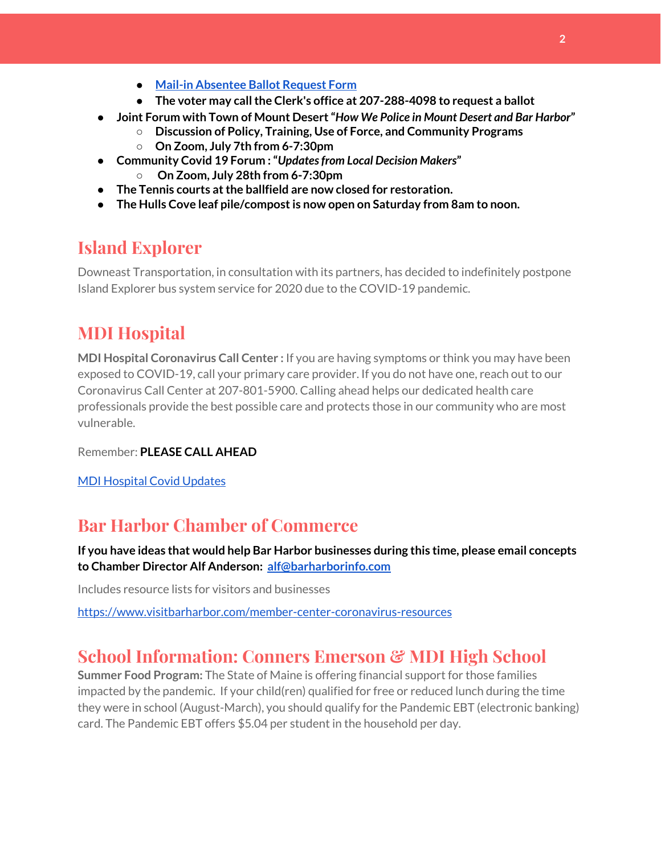- **● Mail-in [Absentee](http://www.barharbormaine.gov/DocumentCenter/View/4119/Absentee-Ballot-Request-Form-20200714) Ballot Request Form**
- **● The voter may callthe Clerk's office at 207-288-4098 to request a ballot**
- **● Joint Forum with Town of Mount Desert"***How We Police in Mount Desert and Bar Harbor***"**
	- **○ Discussion of Policy, Training, Use of Force, and Community Programs ○ On Zoom, July 7th from 6-7:30pm**
- **● Community Covid 19 Forum :"***Updatesfrom Local Decision Makers***"**
	- **○ On Zoom, July 28th from 6-7:30pm**
- **● The Tennis courts atthe ballfield are now closed for restoration.**
- **● The Hulls Cove leaf pile/compostis now open on Saturday from 8am to noon.**

## **Island Explorer**

Downeast Transportation, in consultation with its partners, has decided to indefinitely postpone Island Explorer bus system service for 2020 due to the COVID-19 pandemic.

## **MDI Hospital**

**MDI Hospital Coronavirus Call Center :** If you are having symptoms or think you may have been exposed to COVID-19, call your primary care provider. If you do not have one, reach out to our Coronavirus Call Center at 207-801-5900. Calling ahead helps our dedicated health care professionals provide the best possible care and protects those in our community who are most vulnerable.

Remember: **PLEASE CALL AHEAD**

MDI [Hospital](https://www.mdihospital.org/covid-19/?fbclid=IwAR2Q31t4a6H1pxDfUeqSzFcmp5UbRlSwe93i58zEkHstfexp5EgoHB5cxGU) Covid Updates

## **Bar Harbor Chamber of Commerce**

**If you have ideas that would help Bar Harbor businesses during this time, please email concepts to Chamber Director Alf Anderson: [alf@barharborinfo.com](mailto:alf@barharborinfo.com)**

Includes resource lists for visitors and businesses

<https://www.visitbarharbor.com/member-center-coronavirus-resources>

## **School Information: Conners Emerson & MDI High School**

**Summer Food Program:** The State of Maine is offering financial support for those families impacted by the pandemic. If your child(ren) qualified for free or reduced lunch during the time they were in school (August-March), you should qualify for the Pandemic EBT (electronic banking) card. The Pandemic EBT offers \$5.04 per student in the household per day.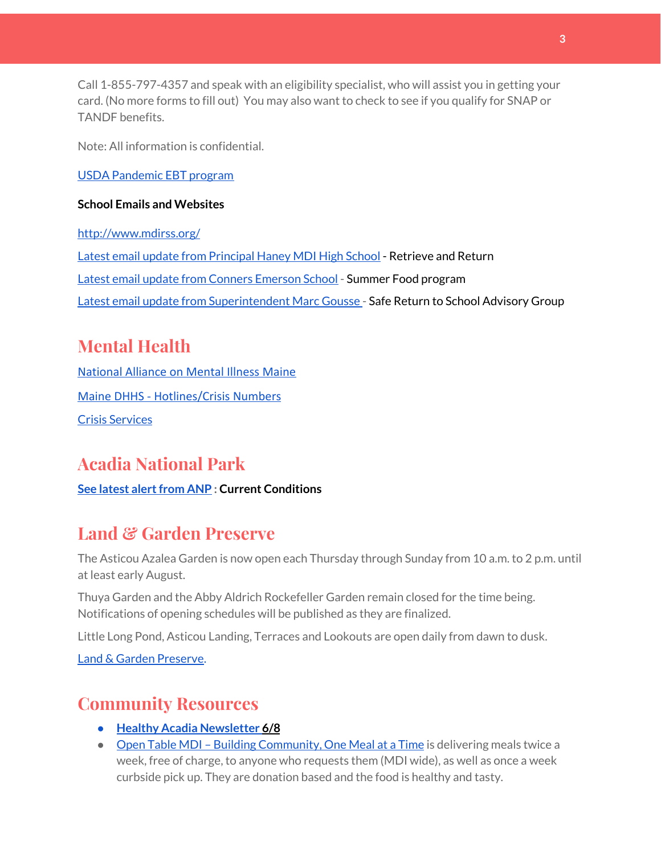Call 1-855-797-4357 and speak with an eligibility specialist, who will assist you in getting your card. (No more forms to fill out) You may also want to check to see if you qualify for SNAP or TANDF benefits.

Note: All information is confidential.

USDA [Pandemic](http://track.spe.schoolmessenger.com/f/a/j6GQx4nFl3Rld4Q68tYCuA~~/AAAAAQA~/RgRgu5_JP0SlaHR0cHM6Ly9tYWlsLmdvb2dsZS5jb20vbWFpbC91LzAvP3RhYj1jbSNzZWFyY2gvZnJvbSUzQStiZWVzbGV5L1doY3RLSlZyQ0NUS1JmUldCTFdkUVpGZ2pUVlhNdkRwUVpIa2NoRkJCc3NGcHJxZEtnWFF3S05Tamt3R1RxTFpaS21wTkRHP3Byb2plY3Rvcj0xJm1lc3NhZ2VQYXJ0SWQ9MC4xVwdzY2hvb2xtQgoARkls2l72Ls-jUhhiYXJoYXJib3JqZXdlbEBnbWFpbC5jb21YBAAAAAE~) EBT program

#### **School Emails and Websites**

<http://www.mdirss.org/> Latest email update from [Principal](https://docs.google.com/document/d/1OKDsYNtOgV0FI9xAcXwQvenOKLV0S2vBg1o5jtu5CrE/edit?usp=sharing) Haney MDI High School - Retrieve and Return Latest email update from Conners [Emerson](https://docs.google.com/document/d/1v3pgkG6Q-9S3gisuUIj4etPVDwgBKl4P00JBkvZr-kk/edit?usp=sharing) School - Summer Food program Latest email update from [Superintendent](https://docs.google.com/document/d/1fzeCbc8gpTSKmUaDoQH1Avx5PVl-h0reFphXrT1eUNA/edit?usp=sharing) Marc Gousse - Safe Return to School Advisory Group

# **Mental Health**

[National Alliance on Mental Illness Maine](https://www.namimaine.org/) [Maine DHHS - Hotlines/Crisis Numbers](https://www.maine.gov/dhhs/hotlines.shtml) Crisis [Services](https://www.sweetser.org/programs-services/services-for-adults/crisis-services/)

# **Acadia National Park**

**See latest alert from ANP : Current Conditions** 

# **Land & Garden Preserve**

The Asticou Azalea Garden is now open each Thursday through Sunday from 10 a.m. to 2 p.m. until at least early August.

Thuya Garden and the Abby Aldrich Rockefeller Garden remain closed for the time being. Notifications of opening schedules will be published as they are finalized.

Little Long Pond, Asticou Landing, Terraces and Lookouts are open daily from dawn to dusk.

Land & Garden [Preserve.](http://r20.rs6.net/tn.jsp?f=001c2c44O_Y4Bmt5GaCvu5yAYkz89M8Lwr9w3wPmKga-jL0VkXmrA_iCBnJWeKd-r-c_wiOF7jNYC-QzXJMviI1ynfM6TwSp8c5otfuaSIRTDcq5nn2rk6dJCDjoN3eBqPHJKFYoFyk9hM2S6_Umc9OISkK5B4CYWoH5SoIKNOTrvM=&c=hkvlfXnwmFjdodNWvqArIvDg3SgMq59MugFS-G4pB0EsTcKrtCXmmw==&ch=dosMVM0pVLoaympYuEEiXtIerW5cx-__Cn3S8zZpZ16TXMeGogAN8g==)

# **Community Resources**

- **● Healthy Acadia [Newsletter](https://mailchi.mp/healthyacadia.org/june8_2020) [6/8](https://mailchi.mp/healthyacadia.org/june8_2020)**
- Open Table MDI Building [Community,](https://www.opentablemdi.org/) One Meal at a Time is delivering meals twice a week, free of charge, to anyone who requests them (MDI wide), as well as once a week curbside pick up. They are donation based and the food is healthy and tasty.